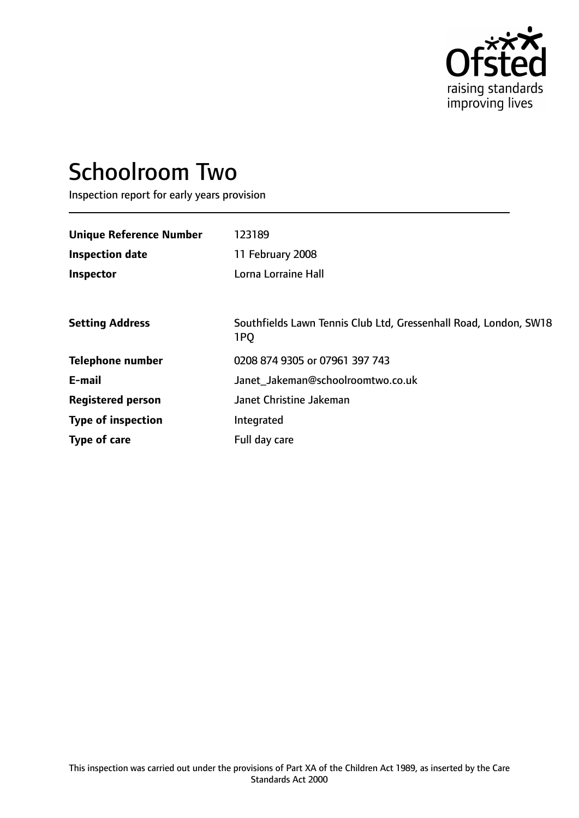

# Schoolroom Two

Inspection report for early years provision

| <b>Unique Reference Number</b> | 123189                                                                              |
|--------------------------------|-------------------------------------------------------------------------------------|
| <b>Inspection date</b>         | 11 February 2008                                                                    |
| <b>Inspector</b>               | Lorna Lorraine Hall                                                                 |
|                                |                                                                                     |
| <b>Setting Address</b>         | Southfields Lawn Tennis Club Ltd, Gressenhall Road, London, SW18<br>1P <sub>O</sub> |
| <b>Telephone number</b>        | 0208 874 9305 or 07961 397 743                                                      |
| E-mail                         | Janet Jakeman@schoolroomtwo.co.uk                                                   |
| <b>Registered person</b>       | Janet Christine Jakeman                                                             |
| <b>Type of inspection</b>      | Integrated                                                                          |
| Type of care                   | Full day care                                                                       |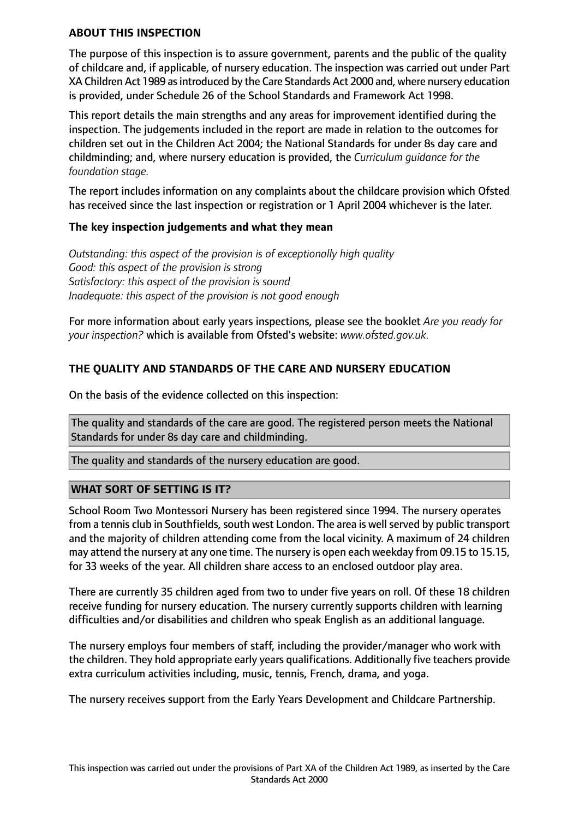## **ABOUT THIS INSPECTION**

The purpose of this inspection is to assure government, parents and the public of the quality of childcare and, if applicable, of nursery education. The inspection was carried out under Part XA Children Act 1989 as introduced by the Care Standards Act 2000 and, where nursery education is provided, under Schedule 26 of the School Standards and Framework Act 1998.

This report details the main strengths and any areas for improvement identified during the inspection. The judgements included in the report are made in relation to the outcomes for children set out in the Children Act 2004; the National Standards for under 8s day care and childminding; and, where nursery education is provided, the *Curriculum guidance for the foundation stage.*

The report includes information on any complaints about the childcare provision which Ofsted has received since the last inspection or registration or 1 April 2004 whichever is the later.

# **The key inspection judgements and what they mean**

*Outstanding: this aspect of the provision is of exceptionally high quality Good: this aspect of the provision is strong Satisfactory: this aspect of the provision is sound Inadequate: this aspect of the provision is not good enough*

For more information about early years inspections, please see the booklet *Are you ready for your inspection?* which is available from Ofsted's website: *www.ofsted.gov.uk.*

# **THE QUALITY AND STANDARDS OF THE CARE AND NURSERY EDUCATION**

On the basis of the evidence collected on this inspection:

The quality and standards of the care are good. The registered person meets the National Standards for under 8s day care and childminding.

The quality and standards of the nursery education are good.

# **WHAT SORT OF SETTING IS IT?**

School Room Two Montessori Nursery has been registered since 1994. The nursery operates from a tennis club in Southfields, south west London. The area is well served by public transport and the majority of children attending come from the local vicinity. A maximum of 24 children may attend the nursery at any one time. The nursery is open each weekday from 09.15 to 15.15, for 33 weeks of the year. All children share access to an enclosed outdoor play area.

There are currently 35 children aged from two to under five years on roll. Of these 18 children receive funding for nursery education. The nursery currently supports children with learning difficulties and/or disabilities and children who speak English as an additional language.

The nursery employs four members of staff, including the provider/manager who work with the children. They hold appropriate early years qualifications. Additionally five teachers provide extra curriculum activities including, music, tennis, French, drama, and yoga.

The nursery receives support from the Early Years Development and Childcare Partnership.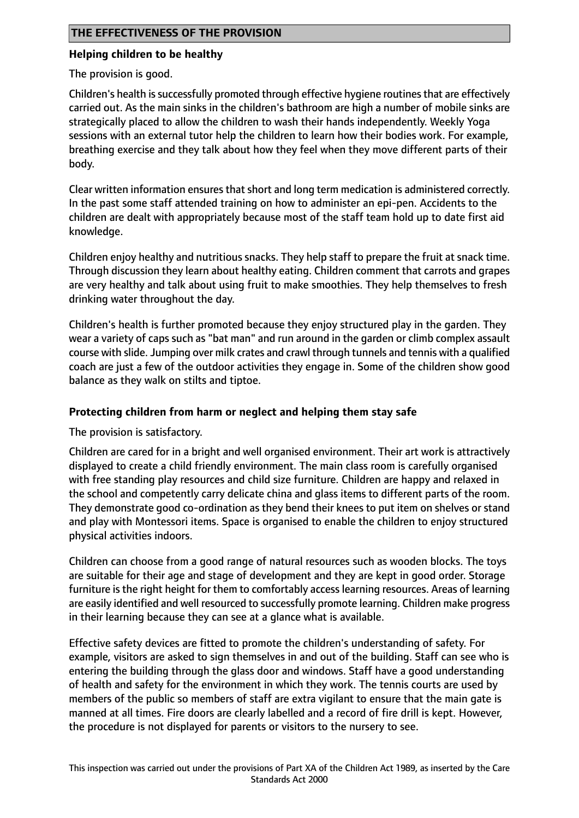# **THE EFFECTIVENESS OF THE PROVISION**

# **Helping children to be healthy**

The provision is good.

Children's health is successfully promoted through effective hygiene routines that are effectively carried out. As the main sinks in the children's bathroom are high a number of mobile sinks are strategically placed to allow the children to wash their hands independently. Weekly Yoga sessions with an external tutor help the children to learn how their bodies work. For example, breathing exercise and they talk about how they feel when they move different parts of their body.

Clear written information ensures that short and long term medication is administered correctly. In the past some staff attended training on how to administer an epi-pen. Accidents to the children are dealt with appropriately because most of the staff team hold up to date first aid knowledge.

Children enjoy healthy and nutritious snacks. They help staff to prepare the fruit at snack time. Through discussion they learn about healthy eating. Children comment that carrots and grapes are very healthy and talk about using fruit to make smoothies. They help themselves to fresh drinking water throughout the day.

Children's health is further promoted because they enjoy structured play in the garden. They wear a variety of caps such as "bat man" and run around in the garden or climb complex assault course with slide. Jumping over milk crates and crawl through tunnels and tennis with a qualified coach are just a few of the outdoor activities they engage in. Some of the children show good balance as they walk on stilts and tiptoe.

# **Protecting children from harm or neglect and helping them stay safe**

The provision is satisfactory.

Children are cared for in a bright and well organised environment. Their art work is attractively displayed to create a child friendly environment. The main class room is carefully organised with free standing play resources and child size furniture. Children are happy and relaxed in the school and competently carry delicate china and glass items to different parts of the room. They demonstrate good co-ordination as they bend their knees to put item on shelves or stand and play with Montessori items. Space is organised to enable the children to enjoy structured physical activities indoors.

Children can choose from a good range of natural resources such as wooden blocks. The toys are suitable for their age and stage of development and they are kept in good order. Storage furniture is the right height for them to comfortably access learning resources. Areas of learning are easily identified and well resourced to successfully promote learning. Children make progress in their learning because they can see at a glance what is available.

Effective safety devices are fitted to promote the children's understanding of safety. For example, visitors are asked to sign themselves in and out of the building. Staff can see who is entering the building through the glass door and windows. Staff have a good understanding of health and safety for the environment in which they work. The tennis courts are used by members of the public so members of staff are extra vigilant to ensure that the main gate is manned at all times. Fire doors are clearly labelled and a record of fire drill is kept. However, the procedure is not displayed for parents or visitors to the nursery to see.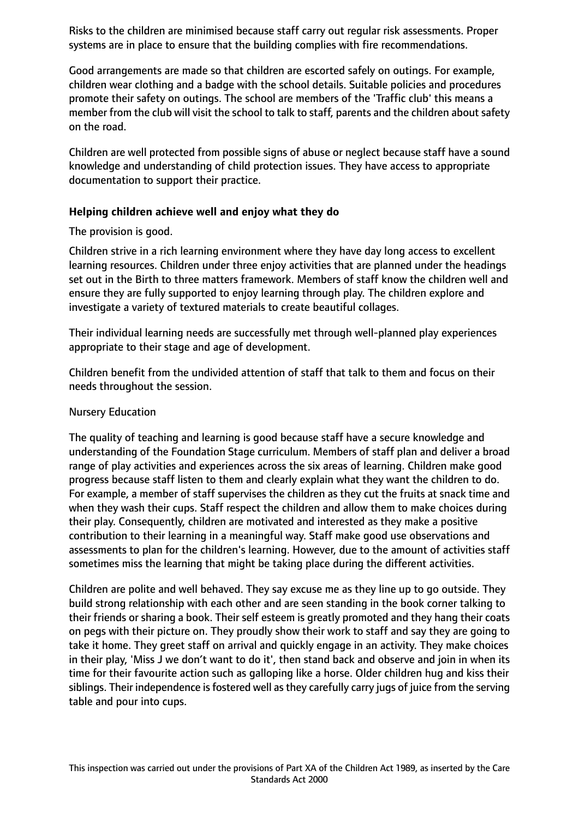Risks to the children are minimised because staff carry out regular risk assessments. Proper systems are in place to ensure that the building complies with fire recommendations.

Good arrangements are made so that children are escorted safely on outings. For example, children wear clothing and a badge with the school details. Suitable policies and procedures promote their safety on outings. The school are members of the 'Traffic club' this means a member from the club will visit the school to talk to staff, parents and the children about safety on the road.

Children are well protected from possible signs of abuse or neglect because staff have a sound knowledge and understanding of child protection issues. They have access to appropriate documentation to support their practice.

# **Helping children achieve well and enjoy what they do**

The provision is good.

Children strive in a rich learning environment where they have day long access to excellent learning resources. Children under three enjoy activities that are planned under the headings set out in the Birth to three matters framework. Members of staff know the children well and ensure they are fully supported to enjoy learning through play. The children explore and investigate a variety of textured materials to create beautiful collages.

Their individual learning needs are successfully met through well-planned play experiences appropriate to their stage and age of development.

Children benefit from the undivided attention of staff that talk to them and focus on their needs throughout the session.

#### Nursery Education

The quality of teaching and learning is good because staff have a secure knowledge and understanding of the Foundation Stage curriculum. Members of staff plan and deliver a broad range of play activities and experiences across the six areas of learning. Children make good progress because staff listen to them and clearly explain what they want the children to do. For example, a member of staff supervises the children as they cut the fruits at snack time and when they wash their cups. Staff respect the children and allow them to make choices during their play. Consequently, children are motivated and interested as they make a positive contribution to their learning in a meaningful way. Staff make good use observations and assessments to plan for the children's learning. However, due to the amount of activities staff sometimes miss the learning that might be taking place during the different activities.

Children are polite and well behaved. They say excuse me as they line up to go outside. They build strong relationship with each other and are seen standing in the book corner talking to their friends or sharing a book. Their self esteem is greatly promoted and they hang their coats on pegs with their picture on. They proudly show their work to staff and say they are going to take it home. They greet staff on arrival and quickly engage in an activity. They make choices in their play, 'Miss J we don't want to do it', then stand back and observe and join in when its time for their favourite action such as galloping like a horse. Older children hug and kiss their siblings. Their independence is fostered well as they carefully carry jugs of juice from the serving table and pour into cups.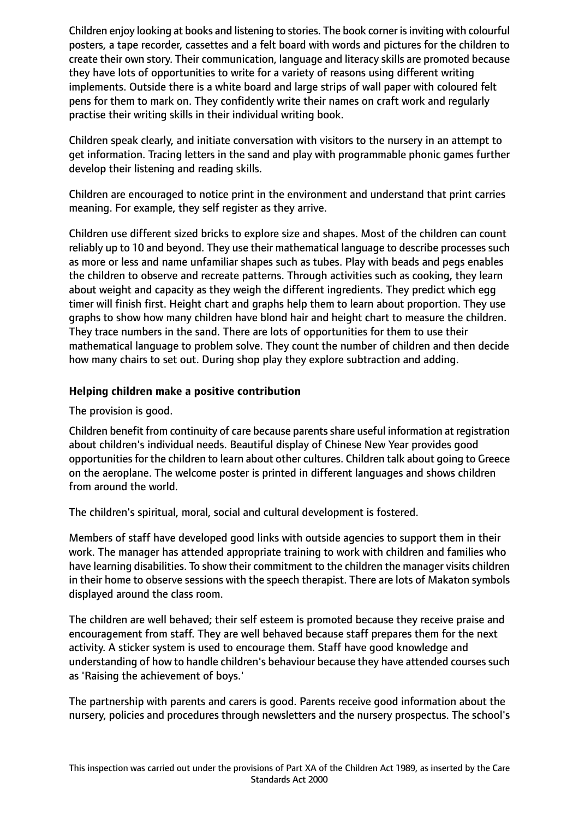Children enjoy looking at books and listening to stories. The book corner isinviting with colourful posters, a tape recorder, cassettes and a felt board with words and pictures for the children to create their own story. Their communication, language and literacy skills are promoted because they have lots of opportunities to write for a variety of reasons using different writing implements. Outside there is a white board and large strips of wall paper with coloured felt pens for them to mark on. They confidently write their names on craft work and regularly practise their writing skills in their individual writing book.

Children speak clearly, and initiate conversation with visitors to the nursery in an attempt to get information. Tracing letters in the sand and play with programmable phonic games further develop their listening and reading skills.

Children are encouraged to notice print in the environment and understand that print carries meaning. For example, they self register as they arrive.

Children use different sized bricks to explore size and shapes. Most of the children can count reliably up to 10 and beyond. They use their mathematical language to describe processes such as more or less and name unfamiliar shapes such as tubes. Play with beads and pegs enables the children to observe and recreate patterns. Through activities such as cooking, they learn about weight and capacity as they weigh the different ingredients. They predict which egg timer will finish first. Height chart and graphs help them to learn about proportion. They use graphs to show how many children have blond hair and height chart to measure the children. They trace numbers in the sand. There are lots of opportunities for them to use their mathematical language to problem solve. They count the number of children and then decide how many chairs to set out. During shop play they explore subtraction and adding.

# **Helping children make a positive contribution**

The provision is good.

Children benefit from continuity of care because parentsshare useful information at registration about children's individual needs. Beautiful display of Chinese New Year provides good opportunities for the children to learn about other cultures. Children talk about going to Greece on the aeroplane. The welcome poster is printed in different languages and shows children from around the world.

The children's spiritual, moral, social and cultural development is fostered.

Members of staff have developed good links with outside agencies to support them in their work. The manager has attended appropriate training to work with children and families who have learning disabilities. To show their commitment to the children the manager visits children in their home to observe sessions with the speech therapist. There are lots of Makaton symbols displayed around the class room.

The children are well behaved; their self esteem is promoted because they receive praise and encouragement from staff. They are well behaved because staff prepares them for the next activity. A sticker system is used to encourage them. Staff have good knowledge and understanding of how to handle children's behaviour because they have attended courses such as 'Raising the achievement of boys.'

The partnership with parents and carers is good. Parents receive good information about the nursery, policies and procedures through newsletters and the nursery prospectus. The school's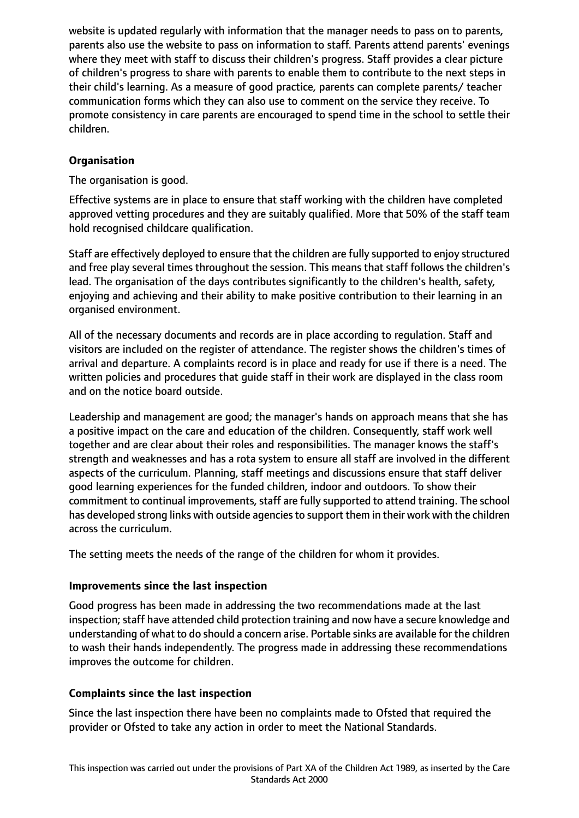website is updated regularly with information that the manager needs to pass on to parents, parents also use the website to pass on information to staff. Parents attend parents' evenings where they meet with staff to discuss their children's progress. Staff provides a clear picture of children's progress to share with parents to enable them to contribute to the next steps in their child's learning. As a measure of good practice, parents can complete parents/ teacher communication forms which they can also use to comment on the service they receive. To promote consistency in care parents are encouraged to spend time in the school to settle their children.

# **Organisation**

The organisation is good.

Effective systems are in place to ensure that staff working with the children have completed approved vetting procedures and they are suitably qualified. More that 50% of the staff team hold recognised childcare qualification.

Staff are effectively deployed to ensure that the children are fully supported to enjoy structured and free play several times throughout the session. This means that staff follows the children's lead. The organisation of the days contributes significantly to the children's health, safety, enjoying and achieving and their ability to make positive contribution to their learning in an organised environment.

All of the necessary documents and records are in place according to regulation. Staff and visitors are included on the register of attendance. The register shows the children's times of arrival and departure. A complaints record is in place and ready for use if there is a need. The written policies and procedures that guide staff in their work are displayed in the class room and on the notice board outside.

Leadership and management are good; the manager's hands on approach means that she has a positive impact on the care and education of the children. Consequently, staff work well together and are clear about their roles and responsibilities. The manager knows the staff's strength and weaknesses and has a rota system to ensure all staff are involved in the different aspects of the curriculum. Planning, staff meetings and discussions ensure that staff deliver good learning experiences for the funded children, indoor and outdoors. To show their commitment to continual improvements, staff are fully supported to attend training. The school has developed strong links with outside agencies to support them in their work with the children across the curriculum.

The setting meets the needs of the range of the children for whom it provides.

# **Improvements since the last inspection**

Good progress has been made in addressing the two recommendations made at the last inspection; staff have attended child protection training and now have a secure knowledge and understanding of what to do should a concern arise. Portable sinks are available for the children to wash their hands independently. The progress made in addressing these recommendations improves the outcome for children.

# **Complaints since the last inspection**

Since the last inspection there have been no complaints made to Ofsted that required the provider or Ofsted to take any action in order to meet the National Standards.